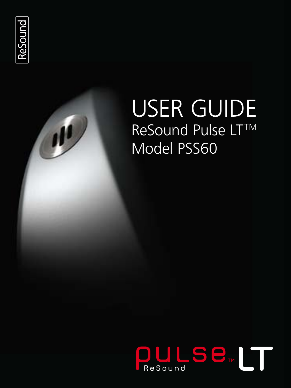

 $\mathbf{r}$ 

# USER GUIDE **ReSound Pulse LT™** Model PSS60

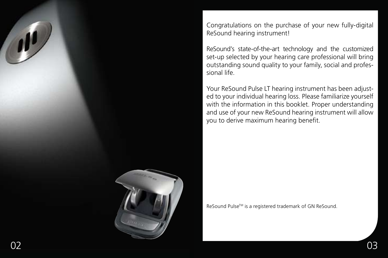Congratulations on the purchase of your new fully-digital ReSound hearing instrument!

ReSound's state-of-the-art technology and the customized set-up selected by your hearing care professional will bring outstanding sound quality to your family, social and professional life.

Your ReSound Pulse LT hearing instrument has been adjusted to your individual hearing loss. Please familiarize yourself with the information in this booklet. Proper understanding and use of your new ReSound hearing instrument will allow you to derive maximum hearing benefit.



ReSound Pulse™ is a registered trademark of GN ReSound.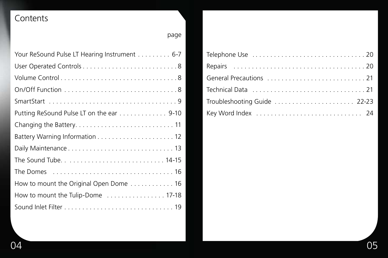## Contents

| page                                                              |
|-------------------------------------------------------------------|
| Your ReSound Pulse LT Hearing Instrument 6-7                      |
|                                                                   |
|                                                                   |
|                                                                   |
|                                                                   |
| Putting ReSound Pulse LT on the ear $\ldots \ldots \ldots$ 9-10   |
|                                                                   |
|                                                                   |
|                                                                   |
|                                                                   |
|                                                                   |
| How to mount the Original Open Dome $\ldots \ldots \ldots \ldots$ |
| How to mount the Tulip-Dome  17-18                                |
|                                                                   |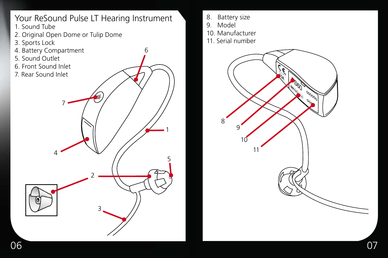

3

2

- 1. Sound Tube
- 2. Original Open Dome or Tulip Dome
- 3. Sports Lock
- 4. Battery Compartment

4

7

- 5. Sound Outlet
- 6. Front Sound Inlet
- 7. Rear Sound Inlet
- 8. Battery size
- 9. Model

1

6

5

- 10. Manufacturer
- 11. Serial number

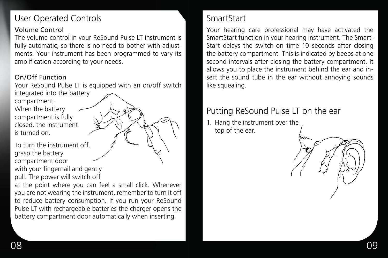## User Operated Controls

### Volume Control

The volume control in your ReSound Pulse LT instrument is fully automatic, so there is no need to bother with adjustments. Your instrument has been programmed to vary its amplification according to your needs.

### On/Off Function

Your ReSound Pulse LT is equipped with an on/off switch

integrated into the battery compartment. When the battery compartment is fully closed, the instrument is turned on.

To turn the instrument off, grasp the battery compartment door with your fingernail and gently pull. The power will switch off

at the point where you can feel a small click. Whenever you are not wearing the instrument, remember to turn it off to reduce battery consumption. If you run your ReSound Pulse LT with rechargeable batteries the charger opens the battery compartment door automatically when inserting.

### SmartStart

Your hearing care professional may have activated the SmartStart function in your hearing instrument. The Smart-Start delays the switch-on time 10 seconds after closing the battery compartment. This is indicated by beeps at one second intervals after closing the battery compartment. It allows you to place the instrument behind the ear and insert the sound tube in the ear without annoying sounds like squealing.

### Putting ReSound Pulse LT on the ear

1. Hang the instrument over the top of the ear.

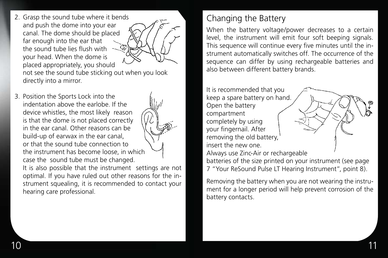- 2. Grasp the sound tube where it bends and push the dome into your ear canal. The dome should be placed far enough into the ear that the sound tube lies flush with -- T your head. When the dome is placed appropriately, you should not see the sound tube sticking out when you look directly into a mirror.
- 3. Position the Sports Lock into the indentation above the earlobe. If the device whistles, the most likely reason is that the dome is not placed correctly in the ear canal. Other reasons can be build-up of earwax in the ear canal, or that the sound tube connection to the instrument has become loose, in which case the sound tube must be changed.



It is also possible that the instrument settings are not optimal. If you have ruled out other reasons for the instrument squealing, it is recommended to contact your hearing care professional.

## Changing the Battery

battery contacts.

When the battery voltage/power decreases to a certain level, the instrument will emit four soft beeping signals. This sequence will continue every five minutes until the instrument automatically switches off. The occurrence of the sequence can differ by using rechargeable batteries and also between different battery brands.

It is recommended that you keep a spare battery on hand. Open the battery compartment completely by using your fingernail. After removing the old battery, insert the new one. Always use Zinc-Air or rechargeable batteries of the size printed on your instrument (see page

7 "Your ReSound Pulse LT Hearing Instrument", point 8). Removing the battery when you are not wearing the instrument for a longer period will help prevent corrosion of the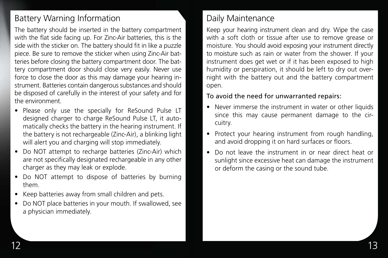### Battery Warning Information

The battery should be inserted in the battery compartment with the flat side facing up. For Zinc-Air batteries, this is the side with the sticker on. The battery should fit in like a puzzle piece. Be sure to remove the sticker when using Zinc-Air batteries before closing the battery compartment door. The battery compartment door should close very easily. Never use force to close the door as this may damage your hearing instrument. Batteries contain dangerous substances and should be disposed of carefully in the interest of your safety and for the environment.

- Please only use the specially for ReSound Pulse LT designed charger to charge ReSound Pulse LT, it automatically checks the battery in the hearing instrument. If the battery is not rechargeable (Zinc-Air), a blinking light will alert you and charging will stop immediately.
- Do NOT attempt to recharge batteries (Zinc-Air) which are not specifically designated rechargeable in any other charger as they may leak or explode.
- Do NOT attempt to dispose of batteries by burning them.
- Keep batteries away from small children and pets.
- Do NOT place batteries in your mouth. If swallowed, see a physician immediately.

### Daily Maintenance

Keep your hearing instrument clean and dry. Wipe the case with a soft cloth or tissue after use to remove grease or moisture. You should avoid exposing your instrument directly to moisture such as rain or water from the shower. If your instrument does get wet or if it has been exposed to high humidity or perspiration, it should be left to dry out overnight with the battery out and the battery compartment open.

#### To avoid the need for unwarranted repairs:

- Never immerse the instrument in water or other liquids since this may cause permanent damage to the circuitry.
- Protect your hearing instrument from rough handling, and avoid dropping it on hard surfaces or floors.
- Do not leave the instrument in or near direct heat or sunlight since excessive heat can damage the instrument or deform the casing or the sound tube.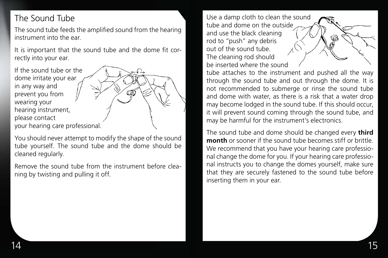## The Sound Tube

The sound tube feeds the amplified sound from the hearing instrument into the ear.

It is important that the sound tube and the dome fit correctly into your ear.

If the sound tube or the dome irritate your ear in any way and prevent you from wearing your hearing instrument, please contact your hearing care professional.



Remove the sound tube from the instrument before cleaning by twisting and pulling it off.

Use a damp cloth to clean the sound tube and dome on the outside and use the black cleaning rod to "push" any debris out of the sound tube. The cleaning rod should be inserted where the sound

tube attaches to the instrument and pushed all the way through the sound tube and out through the dome. It is not recommended to submerge or rinse the sound tube and dome with water, as there is a risk that a water drop may become lodged in the sound tube. If this should occur, it will prevent sound coming through the sound tube, and may be harmful for the instrument's electronics.

The sound tube and dome should be changed every **third month** or sooner if the sound tube becomes stiff or brittle. We recommend that you have your hearing care professional change the dome for you. If your hearing care professional instructs you to change the domes yourself, make sure that they are securely fastened to the sound tube before inserting them in your ear.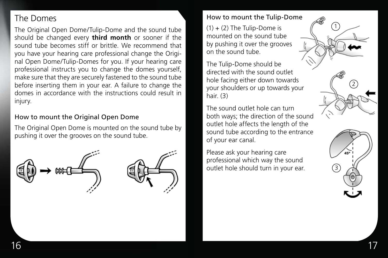### The Domes

The Original Open Dome/Tulip-Dome and the sound tube should be changed every **third month** or sooner if the sound tube becomes stiff or brittle. We recommend that you have your hearing care professional change the Original Open Dome/Tulip-Domes for you. If your hearing care professional instructs you to change the domes yourself, make sure that they are securely fastened to the sound tube before inserting them in your ear. A failure to change the domes in accordance with the instructions could result in injury.

### How to mount the Original Open Dome

The Original Open Dome is mounted on the sound tube by pushing it over the grooves on the sound tube.





### How to mount the Tulip-Dome

 $(1) + (2)$  The Tulip-Dome is mounted on the sound tube by pushing it over the grooves on the sound tube.

The Tulip-Dome should be directed with the sound outlet hole facing either down towards your shoulders or up towards your hair. (3)

The sound outlet hole can turn both ways; the direction of the sound outlet hole affects the length of the sound tube according to the entrance of your ear canal.

Please ask your hearing care professional which way the sound outlet hole should turn in your ear.



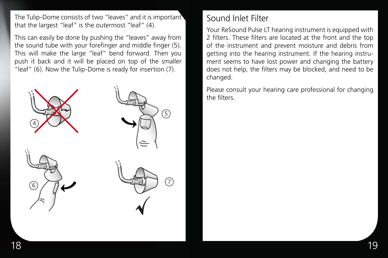The Tulip-Dome consists of two "leaves" and it is important that the largest "leaf" is the outermost "leaf" (4).

This can easily be done by pushing the "leaves" away from the sound tube with your forefinger and middle finger (5). This will make the large "leaf" bend forward. Then you push it back and it will be placed on top of the smaller "leaf" (6). Now the Tulip-Dome is ready for insertion (7).



### Sound Inlet Filter

Your ReSound Pulse LT hearing instrument is equipped with 2 filters. These filters are located at the front and the top of the instrument and prevent moisture and debris from getting into the hearing instrument. If the hearing instrument seems to have lost power and changing the battery does not help, the filters may be blocked, and need to be changed.

Please consult your hearing care professional for changing the filters.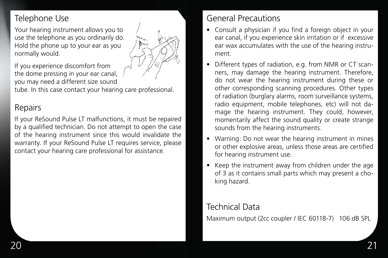### Telephone Use

Your hearing instrument allows you to use the telephone as you ordinarily do. Hold the phone up to your ear as you normally would.



If you experience discomfort from the dome pressing in your ear canal, you may need a different size sound

tube. In this case contact your hearing care professional.

### Repairs

If your ReSound Pulse LT malfunctions, it must be repaired by a qualified technician. Do not attempt to open the case of the hearing instrument since this would invalidate the warranty. If your ReSound Pulse LT requires service, please contact your hearing care professional for assistance.

### General Precautions

- Consult a physician if you find a foreign object in your ear canal, if you experience skin irritation or if excessive ear wax accumulates with the use of the hearing instrument.
- Different types of radiation, e.g. from NMR or CT scanners, may damage the hearing instrument. Therefore, do not wear the hearing instrument during these or other corresponding scanning procedures. Other types of radiation (burglary alarms, room surveillance systems, radio equipment, mobile telephones, etc) will not damage the hearing instrument. They could, however, momentarily affect the sound quality or create strange sounds from the hearing instruments.
- Warning: Do not wear the hearing instrument in mines or other explosive areas, unless those areas are certified for hearing instrument use.
- Keep the instrument away from children under the age of 3 as it contains small parts which may present a choking hazard.

### Technical Data

Maximum output (2cc coupler / IEC 60118-7) 106 dB SPL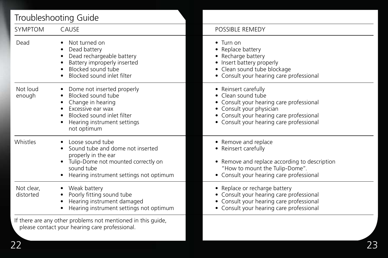|                         | Troubleshooting Guide                                                                                                                                                         |                                                                                                                                                                                                          |
|-------------------------|-------------------------------------------------------------------------------------------------------------------------------------------------------------------------------|----------------------------------------------------------------------------------------------------------------------------------------------------------------------------------------------------------|
| <b>SYMPTOM</b>          | CAUSE                                                                                                                                                                         | <b>POSSIBLE REMEDY</b>                                                                                                                                                                                   |
| Dead                    | Not turned on<br>Dead battery<br>Dead rechargeable battery<br>Battery improperly inserted<br>Blocked sound tube<br>Blocked sound inlet filter                                 | $\bullet$ Turn on<br>• Replace battery<br>Recharge battery<br>• Insert battery properly<br>• Clean sound tube blockage<br>• Consult your hearing care professional                                       |
| Not loud<br>enough      | Dome not inserted properly<br>Blocked sound tube<br>Change in hearing<br>Excessive ear wax<br>Blocked sound inlet filter<br>Hearing instrument settings<br>not optimum        | • Reinsert carefully<br>Clean sound tube<br>• Consult your hearing care professional<br>• Consult your physician<br>• Consult your hearing care professional<br>• Consult your hearing care professional |
| Whistles                | Loose sound tube<br>Sound tube and dome not inserted<br>properly in the ear<br>• Tulip-Dome not mounted correctly on<br>sound tube<br>Hearing instrument settings not optimum | • Remove and replace<br>• Reinsert carefully<br>• Remove and replace according to description<br>"How to mount the Tulip-Dome".<br>• Consult your hearing care professional                              |
| Not clear.<br>distorted | Weak battery<br>Poorly fitting sound tube<br>Hearing instrument damaged<br>Hearing instrument settings not optimum                                                            | • Replace or recharge battery<br>• Consult your hearing care professional<br>• Consult your hearing care professional<br>• Consult your hearing care professional                                        |
|                         | If there are any other problems not mentioned in this guide,<br>please contact your hearing care professional.                                                                |                                                                                                                                                                                                          |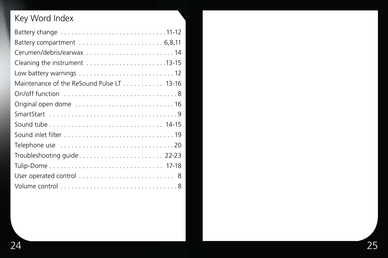## Key Word Index

| Cerumen/debris/earwax  14                 |  |
|-------------------------------------------|--|
|                                           |  |
|                                           |  |
| Maintenance of the ReSound Pulse LT 13-16 |  |
|                                           |  |
|                                           |  |
|                                           |  |
|                                           |  |
|                                           |  |
|                                           |  |
|                                           |  |
|                                           |  |
|                                           |  |
|                                           |  |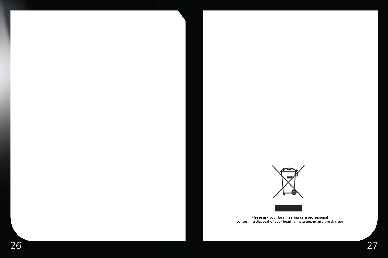



**Please ask your local hearing care professional concerning disposal of your hearing instsrument and the charger**